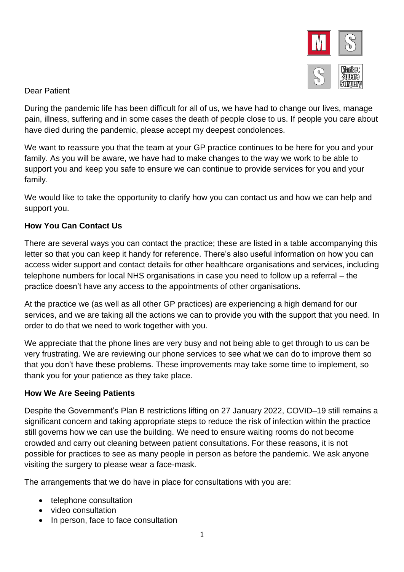

#### Dear Patient

During the pandemic life has been difficult for all of us, we have had to change our lives, manage pain, illness, suffering and in some cases the death of people close to us. If people you care about have died during the pandemic, please accept my deepest condolences.

We want to reassure you that the team at your GP practice continues to be here for you and your family. As you will be aware, we have had to make changes to the way we work to be able to support you and keep you safe to ensure we can continue to provide services for you and your family.

We would like to take the opportunity to clarify how you can contact us and how we can help and support you.

## **How You Can Contact Us**

There are several ways you can contact the practice; these are listed in a table accompanying this letter so that you can keep it handy for reference. There's also useful information on how you can access wider support and contact details for other healthcare organisations and services, including telephone numbers for local NHS organisations in case you need to follow up a referral – the practice doesn't have any access to the appointments of other organisations.

At the practice we (as well as all other GP practices) are experiencing a high demand for our services, and we are taking all the actions we can to provide you with the support that you need. In order to do that we need to work together with you.

We appreciate that the phone lines are very busy and not being able to get through to us can be very frustrating. We are reviewing our phone services to see what we can do to improve them so that you don't have these problems. These improvements may take some time to implement, so thank you for your patience as they take place.

#### **How We Are Seeing Patients**

Despite the Government's Plan B restrictions lifting on 27 January 2022, COVID–19 still remains a significant concern and taking appropriate steps to reduce the risk of infection within the practice still governs how we can use the building. We need to ensure waiting rooms do not become crowded and carry out cleaning between patient consultations. For these reasons, it is not possible for practices to see as many people in person as before the pandemic. We ask anyone visiting the surgery to please wear a face-mask.

The arrangements that we do have in place for consultations with you are:

- telephone consultation
- video consultation
- In person, face to face consultation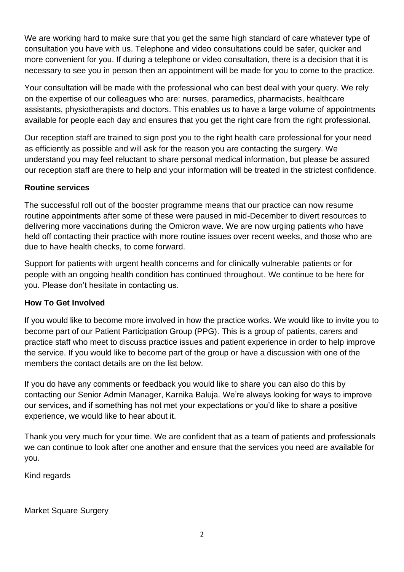We are working hard to make sure that you get the same high standard of care whatever type of consultation you have with us. Telephone and video consultations could be safer, quicker and more convenient for you. If during a telephone or video consultation, there is a decision that it is necessary to see you in person then an appointment will be made for you to come to the practice.

Your consultation will be made with the professional who can best deal with your query. We rely on the expertise of our colleagues who are: nurses, paramedics, pharmacists, healthcare assistants, physiotherapists and doctors. This enables us to have a large volume of appointments available for people each day and ensures that you get the right care from the right professional.

Our reception staff are trained to sign post you to the right health care professional for your need as efficiently as possible and will ask for the reason you are contacting the surgery. We understand you may feel reluctant to share personal medical information, but please be assured our reception staff are there to help and your information will be treated in the strictest confidence.

## **Routine services**

The successful roll out of the booster programme means that our practice can now resume routine appointments after some of these were paused in mid-December to divert resources to delivering more vaccinations during the Omicron wave. We are now urging patients who have held off contacting their practice with more routine issues over recent weeks, and those who are due to have health checks, to come forward.

Support for patients with urgent health concerns and for clinically vulnerable patients or for people with an ongoing health condition has continued throughout. We continue to be here for you. Please don't hesitate in contacting us.

#### **How To Get Involved**

If you would like to become more involved in how the practice works. We would like to invite you to become part of our Patient Participation Group (PPG). This is a group of patients, carers and practice staff who meet to discuss practice issues and patient experience in order to help improve the service. If you would like to become part of the group or have a discussion with one of the members the contact details are on the list below.

If you do have any comments or feedback you would like to share you can also do this by contacting our Senior Admin Manager, Karnika Baluja. We're always looking for ways to improve our services, and if something has not met your expectations or you'd like to share a positive experience, we would like to hear about it.

Thank you very much for your time. We are confident that as a team of patients and professionals we can continue to look after one another and ensure that the services you need are available for you.

Kind regards

Market Square Surgery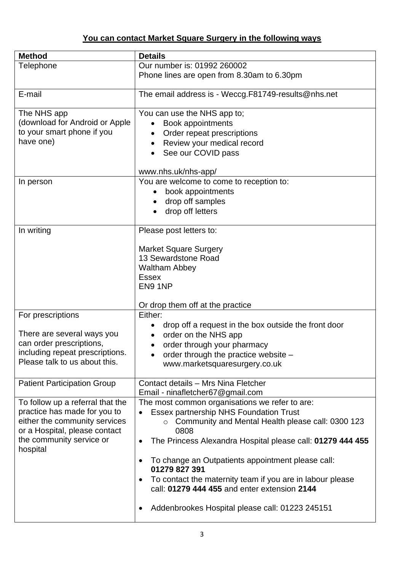# **You can contact Market Square Surgery in the following ways**

| <b>Method</b>                        | <b>Details</b>                                                         |
|--------------------------------------|------------------------------------------------------------------------|
| Telephone                            | Our number is: 01992 260002                                            |
|                                      | Phone lines are open from 8.30am to 6.30pm                             |
| E-mail                               | The email address is - Weccg.F81749-results@nhs.net                    |
| The NHS app                          | You can use the NHS app to;                                            |
| (download for Android or Apple       | Book appointments                                                      |
| to your smart phone if you           | Order repeat prescriptions                                             |
| have one)                            | Review your medical record                                             |
|                                      | See our COVID pass<br>$\bullet$                                        |
|                                      | www.nhs.uk/nhs-app/                                                    |
| In person                            | You are welcome to come to reception to:                               |
|                                      | book appointments                                                      |
|                                      | drop off samples                                                       |
|                                      | drop off letters                                                       |
|                                      |                                                                        |
| In writing                           | Please post letters to:                                                |
|                                      |                                                                        |
|                                      | <b>Market Square Surgery</b>                                           |
|                                      | 13 Sewardstone Road                                                    |
|                                      | <b>Waltham Abbey</b><br><b>Essex</b>                                   |
|                                      | EN9 1NP                                                                |
|                                      |                                                                        |
|                                      | Or drop them off at the practice                                       |
| For prescriptions                    | Either:                                                                |
|                                      | drop off a request in the box outside the front door                   |
| There are several ways you           | order on the NHS app                                                   |
| can order prescriptions,             | order through your pharmacy<br>$\bullet$                               |
| including repeat prescriptions.      | order through the practice website -                                   |
| Please talk to us about this.        | www.marketsquaresurgery.co.uk                                          |
|                                      |                                                                        |
| <b>Patient Participation Group</b>   | Contact details - Mrs Nina Fletcher                                    |
|                                      | Email - ninafletcher67@gmail.com                                       |
| To follow up a referral that the     | The most common organisations we refer to are:                         |
| practice has made for you to         | Essex partnership NHS Foundation Trust                                 |
| either the community services        | o Community and Mental Health please call: 0300 123                    |
| or a Hospital, please contact        | 0808                                                                   |
| the community service or<br>hospital | The Princess Alexandra Hospital please call: 01279 444 455             |
|                                      | To change an Outpatients appointment please call:<br>٠                 |
|                                      | 01279 827 391                                                          |
|                                      | To contact the maternity team if you are in labour please<br>$\bullet$ |
|                                      | call: 01279 444 455 and enter extension 2144                           |
|                                      |                                                                        |
|                                      | Addenbrookes Hospital please call: 01223 245151<br>٠                   |
|                                      |                                                                        |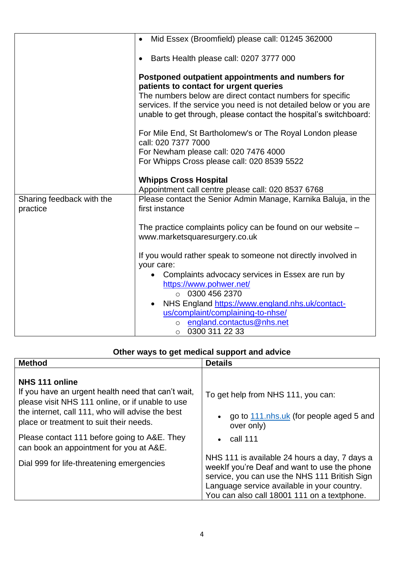|                                       | Mid Essex (Broomfield) please call: 01245 362000                                                                                        |
|---------------------------------------|-----------------------------------------------------------------------------------------------------------------------------------------|
|                                       | Barts Health please call: 0207 3777 000<br>$\bullet$                                                                                    |
|                                       | Postponed outpatient appointments and numbers for<br>patients to contact for urgent queries                                             |
|                                       | The numbers below are direct contact numbers for specific                                                                               |
|                                       | services. If the service you need is not detailed below or you are<br>unable to get through, please contact the hospital's switchboard: |
|                                       | For Mile End, St Bartholomew's or The Royal London please<br>call: 020 7377 7000                                                        |
|                                       | For Newham please call: 020 7476 4000                                                                                                   |
|                                       | For Whipps Cross please call: 020 8539 5522                                                                                             |
|                                       | <b>Whipps Cross Hospital</b>                                                                                                            |
|                                       | Appointment call centre please call: 020 8537 6768                                                                                      |
|                                       |                                                                                                                                         |
| Sharing feedback with the<br>practice | Please contact the Senior Admin Manage, Karnika Baluja, in the<br>first instance                                                        |
|                                       | The practice complaints policy can be found on our website -                                                                            |
|                                       | www.marketsquaresurgery.co.uk                                                                                                           |
|                                       |                                                                                                                                         |
|                                       | If you would rather speak to someone not directly involved in<br>your care:                                                             |
|                                       | • Complaints advocacy services in Essex are run by                                                                                      |
|                                       | https://www.pohwer.net/                                                                                                                 |
|                                       | $\circ$ 0300 456 2370                                                                                                                   |
|                                       | NHS England https://www.england.nhs.uk/contact-<br>$\bullet$                                                                            |
|                                       | us/complaint/complaining-to-nhse/                                                                                                       |
|                                       | o england.contactus@nhs.net                                                                                                             |
|                                       | 0300 311 22 33<br>$\circ$                                                                                                               |

# **Other ways to get medical support and advice**

| <b>Method</b>                                                                                                                                                                                                           | <b>Details</b>                                                                                                                                                                                                                               |
|-------------------------------------------------------------------------------------------------------------------------------------------------------------------------------------------------------------------------|----------------------------------------------------------------------------------------------------------------------------------------------------------------------------------------------------------------------------------------------|
| NHS 111 online<br>If you have an urgent health need that can't wait,<br>please visit NHS 111 online, or if unable to use<br>the internet, call 111, who will advise the best<br>place or treatment to suit their needs. | To get help from NHS 111, you can:<br>go to 111 nhs.uk (for people aged 5 and<br>over only)                                                                                                                                                  |
| Please contact 111 before going to A&E. They<br>can book an appointment for you at A&E.                                                                                                                                 | $\cdot$ call 111                                                                                                                                                                                                                             |
| Dial 999 for life-threatening emergencies                                                                                                                                                                               | NHS 111 is available 24 hours a day, 7 days a<br>weeklf you're Deaf and want to use the phone<br>service, you can use the NHS 111 British Sign<br>Language service available in your country.<br>You can also call 18001 111 on a textphone. |